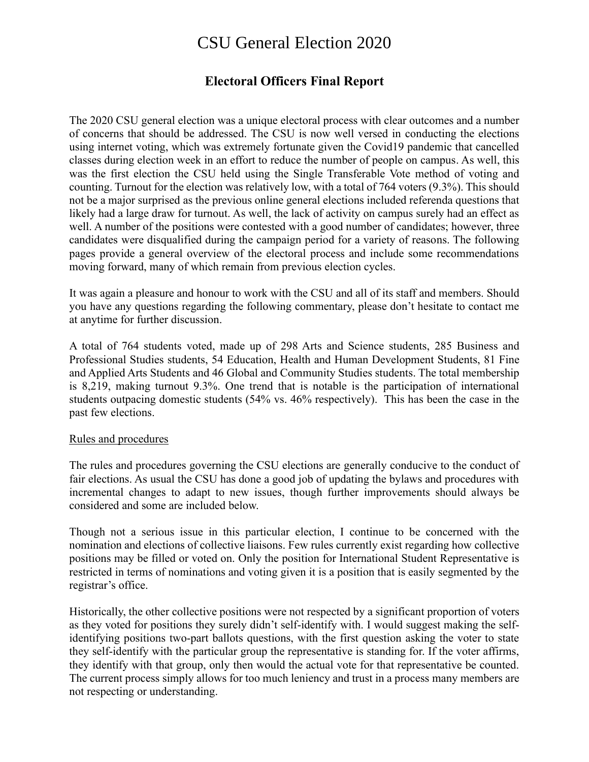# CSU General Election 2020

# **Electoral Officers Final Report**

The 2020 CSU general election was a unique electoral process with clear outcomes and a number of concerns that should be addressed. The CSU is now well versed in conducting the elections using internet voting, which was extremely fortunate given the Covid19 pandemic that cancelled classes during election week in an effort to reduce the number of people on campus. As well, this was the first election the CSU held using the Single Transferable Vote method of voting and counting. Turnout for the election was relatively low, with a total of 764 voters (9.3%). This should not be a major surprised as the previous online general elections included referenda questions that likely had a large draw for turnout. As well, the lack of activity on campus surely had an effect as well. A number of the positions were contested with a good number of candidates; however, three candidates were disqualified during the campaign period for a variety of reasons. The following pages provide a general overview of the electoral process and include some recommendations moving forward, many of which remain from previous election cycles.

It was again a pleasure and honour to work with the CSU and all of its staff and members. Should you have any questions regarding the following commentary, please don't hesitate to contact me at anytime for further discussion.

A total of 764 students voted, made up of 298 Arts and Science students, 285 Business and Professional Studies students, 54 Education, Health and Human Development Students, 81 Fine and Applied Arts Students and 46 Global and Community Studies students. The total membership is 8,219, making turnout 9.3%. One trend that is notable is the participation of international students outpacing domestic students (54% vs. 46% respectively). This has been the case in the past few elections.

#### Rules and procedures

The rules and procedures governing the CSU elections are generally conducive to the conduct of fair elections. As usual the CSU has done a good job of updating the bylaws and procedures with incremental changes to adapt to new issues, though further improvements should always be considered and some are included below.

Though not a serious issue in this particular election, I continue to be concerned with the nomination and elections of collective liaisons. Few rules currently exist regarding how collective positions may be filled or voted on. Only the position for International Student Representative is restricted in terms of nominations and voting given it is a position that is easily segmented by the registrar's office.

Historically, the other collective positions were not respected by a significant proportion of voters as they voted for positions they surely didn't self-identify with. I would suggest making the selfidentifying positions two-part ballots questions, with the first question asking the voter to state they self-identify with the particular group the representative is standing for. If the voter affirms, they identify with that group, only then would the actual vote for that representative be counted. The current process simply allows for too much leniency and trust in a process many members are not respecting or understanding.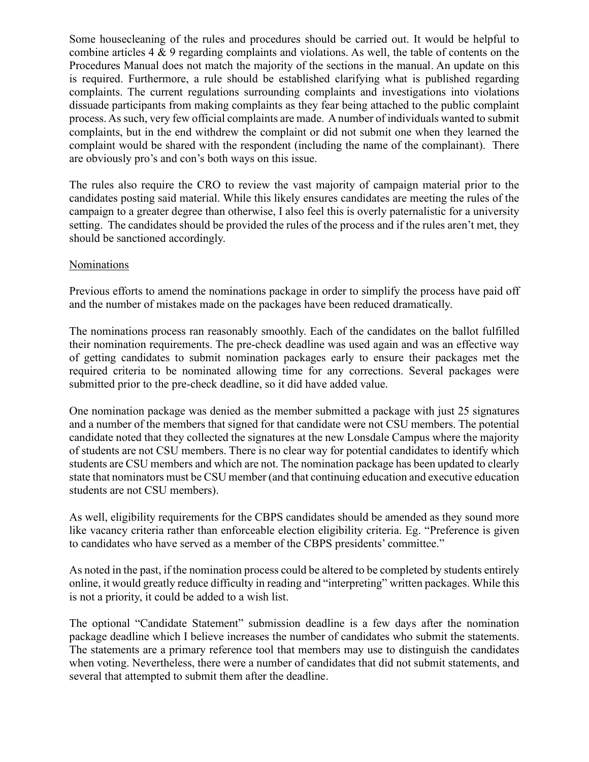Some housecleaning of the rules and procedures should be carried out. It would be helpful to combine articles 4 & 9 regarding complaints and violations. As well, the table of contents on the Procedures Manual does not match the majority of the sections in the manual. An update on this is required. Furthermore, a rule should be established clarifying what is published regarding complaints. The current regulations surrounding complaints and investigations into violations dissuade participants from making complaints as they fear being attached to the public complaint process. As such, very few official complaints are made. A number of individuals wanted to submit complaints, but in the end withdrew the complaint or did not submit one when they learned the complaint would be shared with the respondent (including the name of the complainant). There are obviously pro's and con's both ways on this issue.

The rules also require the CRO to review the vast majority of campaign material prior to the candidates posting said material. While this likely ensures candidates are meeting the rules of the campaign to a greater degree than otherwise, I also feel this is overly paternalistic for a university setting. The candidates should be provided the rules of the process and if the rules aren't met, they should be sanctioned accordingly.

#### **Nominations**

Previous efforts to amend the nominations package in order to simplify the process have paid off and the number of mistakes made on the packages have been reduced dramatically.

The nominations process ran reasonably smoothly. Each of the candidates on the ballot fulfilled their nomination requirements. The pre-check deadline was used again and was an effective way of getting candidates to submit nomination packages early to ensure their packages met the required criteria to be nominated allowing time for any corrections. Several packages were submitted prior to the pre-check deadline, so it did have added value.

One nomination package was denied as the member submitted a package with just 25 signatures and a number of the members that signed for that candidate were not CSU members. The potential candidate noted that they collected the signatures at the new Lonsdale Campus where the majority of students are not CSU members. There is no clear way for potential candidates to identify which students are CSU members and which are not. The nomination package has been updated to clearly state that nominators must be CSU member (and that continuing education and executive education students are not CSU members).

As well, eligibility requirements for the CBPS candidates should be amended as they sound more like vacancy criteria rather than enforceable election eligibility criteria. Eg. "Preference is given to candidates who have served as a member of the CBPS presidents' committee."

As noted in the past, if the nomination process could be altered to be completed by students entirely online, it would greatly reduce difficulty in reading and "interpreting" written packages. While this is not a priority, it could be added to a wish list.

The optional "Candidate Statement" submission deadline is a few days after the nomination package deadline which I believe increases the number of candidates who submit the statements. The statements are a primary reference tool that members may use to distinguish the candidates when voting. Nevertheless, there were a number of candidates that did not submit statements, and several that attempted to submit them after the deadline.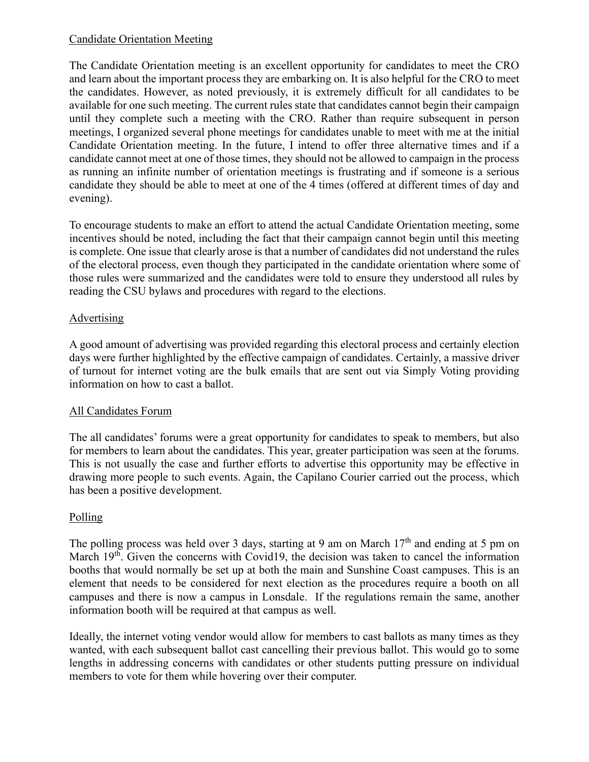## Candidate Orientation Meeting

The Candidate Orientation meeting is an excellent opportunity for candidates to meet the CRO and learn about the important process they are embarking on. It is also helpful for the CRO to meet the candidates. However, as noted previously, it is extremely difficult for all candidates to be available for one such meeting. The current rules state that candidates cannot begin their campaign until they complete such a meeting with the CRO. Rather than require subsequent in person meetings, I organized several phone meetings for candidates unable to meet with me at the initial Candidate Orientation meeting. In the future, I intend to offer three alternative times and if a candidate cannot meet at one of those times, they should not be allowed to campaign in the process as running an infinite number of orientation meetings is frustrating and if someone is a serious candidate they should be able to meet at one of the 4 times (offered at different times of day and evening).

To encourage students to make an effort to attend the actual Candidate Orientation meeting, some incentives should be noted, including the fact that their campaign cannot begin until this meeting is complete. One issue that clearly arose is that a number of candidates did not understand the rules of the electoral process, even though they participated in the candidate orientation where some of those rules were summarized and the candidates were told to ensure they understood all rules by reading the CSU bylaws and procedures with regard to the elections.

#### Advertising

A good amount of advertising was provided regarding this electoral process and certainly election days were further highlighted by the effective campaign of candidates. Certainly, a massive driver of turnout for internet voting are the bulk emails that are sent out via Simply Voting providing information on how to cast a ballot.

# All Candidates Forum

The all candidates' forums were a great opportunity for candidates to speak to members, but also for members to learn about the candidates. This year, greater participation was seen at the forums. This is not usually the case and further efforts to advertise this opportunity may be effective in drawing more people to such events. Again, the Capilano Courier carried out the process, which has been a positive development.

# Polling

The polling process was held over 3 days, starting at 9 am on March  $17<sup>th</sup>$  and ending at 5 pm on March 19<sup>th</sup>. Given the concerns with Covid19, the decision was taken to cancel the information booths that would normally be set up at both the main and Sunshine Coast campuses. This is an element that needs to be considered for next election as the procedures require a booth on all campuses and there is now a campus in Lonsdale. If the regulations remain the same, another information booth will be required at that campus as well.

Ideally, the internet voting vendor would allow for members to cast ballots as many times as they wanted, with each subsequent ballot cast cancelling their previous ballot. This would go to some lengths in addressing concerns with candidates or other students putting pressure on individual members to vote for them while hovering over their computer.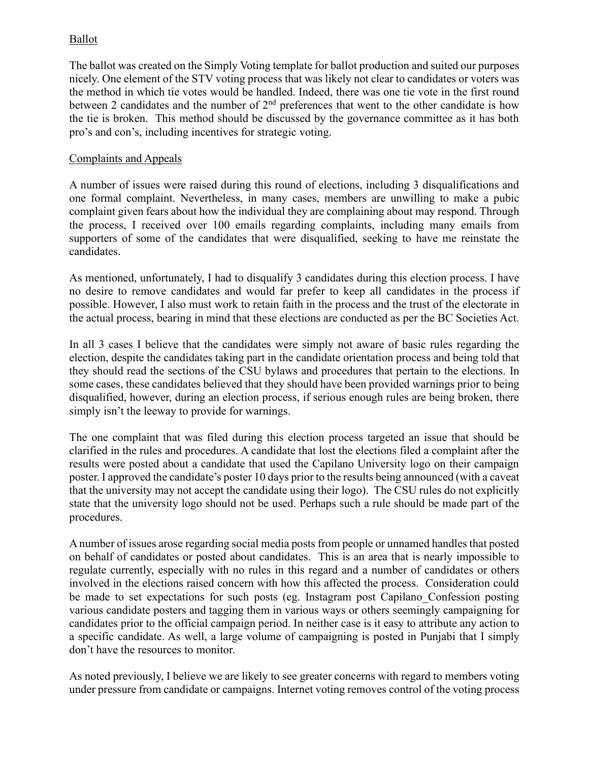# Ballot

The ballot was created on the Simply Voting template for ballot production and suited our purposes nicely. One element of the STV voting process that was likely not clear to candidates or voters was the method in which tie votes would be handled. Indeed, there was one tie vote in the first round between 2 candidates and the number of  $2<sup>nd</sup>$  preferences that went to the other candidate is how the tie is broken. This method should be discussed by the governance committee as it has both pro's and con's, including incentives for strategic voting.

#### Complaints and Appeals

A number of issues were raised during this round of elections, including 3 disqualifications and one formal complaint. Nevertheless, in many cases, members are unwilling to make a pubic complaint given fears about how the individual they are complaining about may respond. Through the process, I received over 100 emails regarding complaints, including many emails from supporters of some of the candidates that were disqualified, seeking to have me reinstate the candidates.

As mentioned, unfortunately, I had to disqualify 3 candidates during this election process. I have no desire to remove candidates and would far prefer to keep all candidates in the process if possible. However, I also must work to retain faith in the process and the trust of the electorate in the actual process, bearing in mind that these elections are conducted as per the BC Societies Act.

In all 3 cases I believe that the candidates were simply not aware of basic rules regarding the election, despite the candidates taking part in the candidate orientation process and being told that they should read the sections of the CSU bylaws and procedures that pertain to the elections. In some cases, these candidates believed that they should have been provided warnings prior to being disqualified, however, during an election process, if serious enough rules are being broken, there simply isn't the leeway to provide for warnings.

The one complaint that was filed during this election process targeted an issue that should be clarified in the rules and procedures. A candidate that lost the elections filed a complaint after the results were posted about a candidate that used the Capilano University logo on their campaign poster. I approved the candidate's poster 10 days prior to the results being announced (with a caveat that the university may not accept the candidate using their logo). The CSU rules do not explicitly state that the university logo should not be used. Perhaps such a rule should be made part of the procedures.

A number of issues arose regarding social media posts from people or unnamed handles that posted on behalf of candidates or posted about candidates. This is an area that is nearly impossible to regulate currently, especially with no rules in this regard and a number of candidates or others involved in the elections raised concern with how this affected the process. Consideration could be made to set expectations for such posts (eg. Instagram post Capilano Confession posting various candidate posters and tagging them in various ways or others seemingly campaigning for candidates prior to the official campaign period. In neither case is it easy to attribute any action to a specific candidate. As well, a large volume of campaigning is posted in Punjabi that I simply don't have the resources to monitor.

As noted previously, I believe we are likely to see greater concerns with regard to members voting under pressure from candidate or campaigns. Internet voting removes control of the voting process